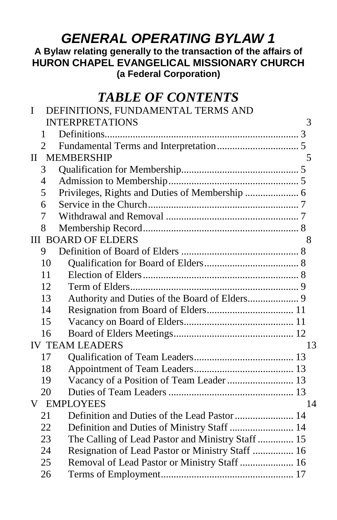## *GENERAL OPERATING BYLAW 1*

#### **A Bylaw relating generally to the transaction of the affairs of HURON CHAPEL EVANGELICAL MISSIONARY CHURCH (a Federal Corporation)**

## *TABLE OF CONTENTS*

| $\mathbf I$                  |                | DEFINITIONS, FUNDAMENTAL TERMS AND                |    |  |  |
|------------------------------|----------------|---------------------------------------------------|----|--|--|
|                              |                | <b>INTERPRETATIONS</b>                            | 3  |  |  |
|                              | 1              |                                                   |    |  |  |
|                              | $\overline{2}$ |                                                   |    |  |  |
| <b>II MEMBERSHIP</b><br>5    |                |                                                   |    |  |  |
|                              | 3              |                                                   |    |  |  |
|                              | $\overline{4}$ |                                                   |    |  |  |
|                              | 5              | Privileges, Rights and Duties of Membership  6    |    |  |  |
|                              | 6              |                                                   |    |  |  |
|                              | 7              |                                                   |    |  |  |
|                              | 8              |                                                   |    |  |  |
|                              |                | <b>III BOARD OF ELDERS</b>                        | 8  |  |  |
|                              | 9              |                                                   |    |  |  |
|                              | 10             |                                                   |    |  |  |
|                              | 11             |                                                   |    |  |  |
|                              | 12             |                                                   |    |  |  |
|                              | 13             | Authority and Duties of the Board of Elders 9     |    |  |  |
|                              | 14             |                                                   |    |  |  |
|                              | 15             |                                                   |    |  |  |
|                              | 16             |                                                   |    |  |  |
| <b>IV TEAM LEADERS</b><br>13 |                |                                                   |    |  |  |
|                              | 17             |                                                   |    |  |  |
|                              | 18             |                                                   |    |  |  |
|                              | 19             | Vacancy of a Position of Team Leader  13          |    |  |  |
|                              | 20             |                                                   |    |  |  |
|                              |                | <b>V EMPLOYEES</b>                                | 14 |  |  |
|                              | 21             |                                                   |    |  |  |
|                              | 22             | Definition and Duties of Ministry Staff  14       |    |  |  |
|                              | 23             | The Calling of Lead Pastor and Ministry Staff  15 |    |  |  |
|                              | 24             | Resignation of Lead Pastor or Ministry Staff  16  |    |  |  |
|                              | 25             | Removal of Lead Pastor or Ministry Staff  16      |    |  |  |
|                              | 26             |                                                   |    |  |  |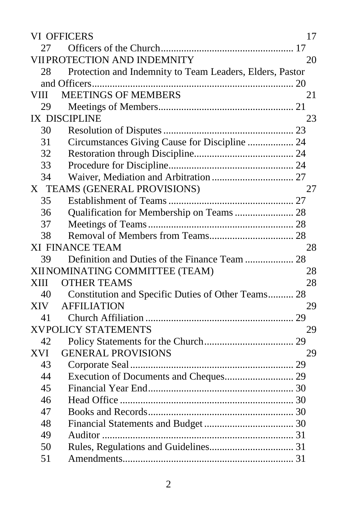| <b>VI OFFICERS</b><br>17                 |                                                          |    |  |  |  |  |
|------------------------------------------|----------------------------------------------------------|----|--|--|--|--|
| 27                                       |                                                          |    |  |  |  |  |
| <b>VIIPROTECTION AND INDEMNITY</b><br>20 |                                                          |    |  |  |  |  |
| 28                                       | Protection and Indemnity to Team Leaders, Elders, Pastor |    |  |  |  |  |
|                                          |                                                          |    |  |  |  |  |
| VIII                                     | <b>MEETINGS OF MEMBERS</b>                               | 21 |  |  |  |  |
| 29                                       |                                                          |    |  |  |  |  |
| <b>IX DISCIPLINE</b><br>23               |                                                          |    |  |  |  |  |
| 30                                       |                                                          |    |  |  |  |  |
| 31                                       | Circumstances Giving Cause for Discipline  24            |    |  |  |  |  |
| 32                                       |                                                          |    |  |  |  |  |
| 33                                       |                                                          |    |  |  |  |  |
| 34                                       |                                                          |    |  |  |  |  |
|                                          | X TEAMS (GENERAL PROVISIONS)                             | 27 |  |  |  |  |
| 35                                       |                                                          |    |  |  |  |  |
| 36                                       | Qualification for Membership on Teams  28                |    |  |  |  |  |
| 37                                       |                                                          |    |  |  |  |  |
| 38                                       |                                                          |    |  |  |  |  |
|                                          | <b>XI FINANCE TEAM</b>                                   | 28 |  |  |  |  |
| 39                                       |                                                          |    |  |  |  |  |
|                                          | XIINOMINATING COMMITTEE (TEAM)                           | 28 |  |  |  |  |
| XIII                                     | <b>OTHER TEAMS</b>                                       | 28 |  |  |  |  |
| 40                                       | Constitution and Specific Duties of Other Teams 28       |    |  |  |  |  |
| <b>XIV</b>                               | <b>AFFILIATION</b>                                       | 29 |  |  |  |  |
| 41                                       |                                                          |    |  |  |  |  |
| <b>XVPOLICY STATEMENTS</b><br>29         |                                                          |    |  |  |  |  |
| 42                                       |                                                          |    |  |  |  |  |
| <b>XVI</b>                               | <b>GENERAL PROVISIONS</b>                                | 29 |  |  |  |  |
| 43                                       |                                                          |    |  |  |  |  |
| 44                                       |                                                          |    |  |  |  |  |
| 45                                       |                                                          |    |  |  |  |  |
| 46                                       |                                                          |    |  |  |  |  |
| 47                                       |                                                          |    |  |  |  |  |
| 48                                       |                                                          |    |  |  |  |  |
| 49                                       |                                                          |    |  |  |  |  |
| 50                                       |                                                          |    |  |  |  |  |
| 51                                       |                                                          |    |  |  |  |  |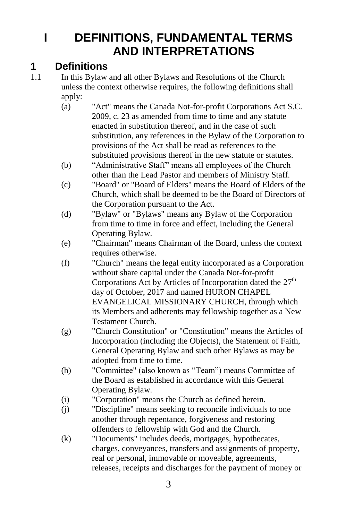## <span id="page-2-0"></span>**I DEFINITIONS, FUNDAMENTAL TERMS AND INTERPRETATIONS**

#### <span id="page-2-1"></span>**1 Definitions**

- 1.1 In this Bylaw and all other Bylaws and Resolutions of the Church unless the context otherwise requires, the following definitions shall apply:
	- (a) "Act" means the Canada Not-for-profit Corporations Act S.C. 2009, c. 23 as amended from time to time and any statute enacted in substitution thereof, and in the case of such substitution, any references in the Bylaw of the Corporation to provisions of the Act shall be read as references to the substituted provisions thereof in the new statute or statutes.
	- (b) "Administrative Staff" means all employees of the Church other than the Lead Pastor and members of Ministry Staff.
	- (c) "Board" or "Board of Elders" means the Board of Elders of the Church, which shall be deemed to be the Board of Directors of the Corporation pursuant to the Act.
	- (d) "Bylaw" or "Bylaws" means any Bylaw of the Corporation from time to time in force and effect, including the General Operating Bylaw.
	- (e) "Chairman" means Chairman of the Board, unless the context requires otherwise.
	- (f) "Church" means the legal entity incorporated as a Corporation without share capital under the Canada Not-for-profit Corporations Act by Articles of Incorporation dated the  $27<sup>th</sup>$ day of October, 2017 and named HURON CHAPEL EVANGELICAL MISSIONARY CHURCH, through which its Members and adherents may fellowship together as a New Testament Church.
	- (g) "Church Constitution" or "Constitution" means the Articles of Incorporation (including the Objects), the Statement of Faith, General Operating Bylaw and such other Bylaws as may be adopted from time to time.
	- (h) "Committee" (also known as "Team") means Committee of the Board as established in accordance with this General Operating Bylaw.
	- (i) "Corporation" means the Church as defined herein.
	- (j) "Discipline" means seeking to reconcile individuals to one another through repentance, forgiveness and restoring offenders to fellowship with God and the Church.
	- (k) "Documents" includes deeds, mortgages, hypothecates, charges, conveyances, transfers and assignments of property, real or personal, immovable or moveable, agreements, releases, receipts and discharges for the payment of money or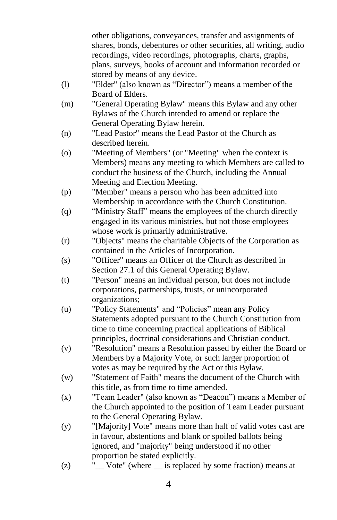other obligations, conveyances, transfer and assignments of shares, bonds, debentures or other securities, all writing, audio recordings, video recordings, photographs, charts, graphs, plans, surveys, books of account and information recorded or stored by means of any device.

- (l) "Elder" (also known as "Director") means a member of the Board of Elders.
- (m) "General Operating Bylaw" means this Bylaw and any other Bylaws of the Church intended to amend or replace the General Operating Bylaw herein.
- (n) "Lead Pastor" means the Lead Pastor of the Church as described herein.
- (o) "Meeting of Members" (or "Meeting" when the context is Members) means any meeting to which Members are called to conduct the business of the Church, including the Annual Meeting and Election Meeting.
- (p) "Member" means a person who has been admitted into Membership in accordance with the Church Constitution.
- (q) "Ministry Staff" means the employees of the church directly engaged in its various ministries, but not those employees whose work is primarily administrative.
- (r) "Objects" means the charitable Objects of the Corporation as contained in the Articles of Incorporation.
- (s) "Officer" means an Officer of the Church as described in Section [27.1](#page-16-3) of this General Operating Bylaw.
- (t) "Person" means an individual person, but does not include corporations, partnerships, trusts, or unincorporated organizations;
- (u) "Policy Statements" and "Policies" mean any Policy Statements adopted pursuant to the Church Constitution from time to time concerning practical applications of Biblical principles, doctrinal considerations and Christian conduct.
- (v) "Resolution" means a Resolution passed by either the Board or Members by a Majority Vote, or such larger proportion of votes as may be required by the Act or this Bylaw.
- (w) "Statement of Faith" means the document of the Church with this title, as from time to time amended.
- (x) "Team Leader" (also known as "Deacon") means a Member of the Church appointed to the position of Team Leader pursuant to the General Operating Bylaw.
- (y) "[Majority] Vote" means more than half of valid votes cast are in favour, abstentions and blank or spoiled ballots being ignored, and "majority" being understood if no other proportion be stated explicitly.
- (z) "\_\_ Vote" (where \_\_ is replaced by some fraction) means at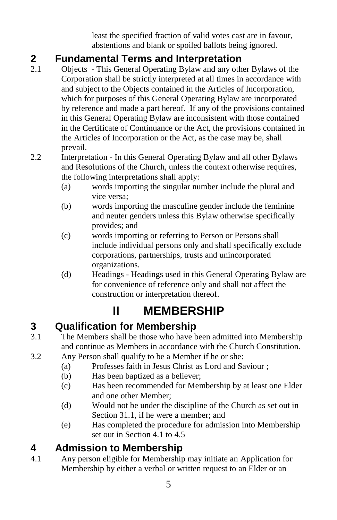least the specified fraction of valid votes cast are in favour, abstentions and blank or spoiled ballots being ignored.

## <span id="page-4-0"></span>**2 Fundamental Terms and Interpretation**

- 2.1 Objects This General Operating Bylaw and any other Bylaws of the Corporation shall be strictly interpreted at all times in accordance with and subject to the Objects contained in the Articles of Incorporation, which for purposes of this General Operating Bylaw are incorporated by reference and made a part hereof. If any of the provisions contained in this General Operating Bylaw are inconsistent with those contained in the Certificate of Continuance or the Act, the provisions contained in the Articles of Incorporation or the Act, as the case may be, shall prevail.
- 2.2 Interpretation In this General Operating Bylaw and all other Bylaws and Resolutions of the Church, unless the context otherwise requires, the following interpretations shall apply:
	- (a) words importing the singular number include the plural and vice versa;
	- (b) words importing the masculine gender include the feminine and neuter genders unless this Bylaw otherwise specifically provides; and
	- (c) words importing or referring to Person or Persons shall include individual persons only and shall specifically exclude corporations, partnerships, trusts and unincorporated organizations.
	- (d) Headings Headings used in this General Operating Bylaw are for convenience of reference only and shall not affect the construction or interpretation thereof.

# **II MEMBERSHIP**

## <span id="page-4-2"></span><span id="page-4-1"></span>**3 Qualification for Membership**

- 3.1 The Members shall be those who have been admitted into Membership and continue as Members in accordance with the Church Constitution.
- <span id="page-4-5"></span>3.2 Any Person shall qualify to be a Member if he or she:
	- (a) Professes faith in Jesus Christ as Lord and Saviour ;
	- (b) Has been baptized as a believer;
	- (c) Has been recommended for Membership by at least one Elder and one other Member;
	- (d) Would not be under the discipline of the Church as set out in Section [31.1,](#page-23-3) if he were a member; and
	- (e) Has completed the procedure for admission into Membership set out in Sectio[n 4.1](#page-4-4) to [4.5](#page-5-1)

## <span id="page-4-3"></span>**4 Admission to Membership**

<span id="page-4-4"></span>4.1 Any person eligible for Membership may initiate an Application for Membership by either a verbal or written request to an Elder or an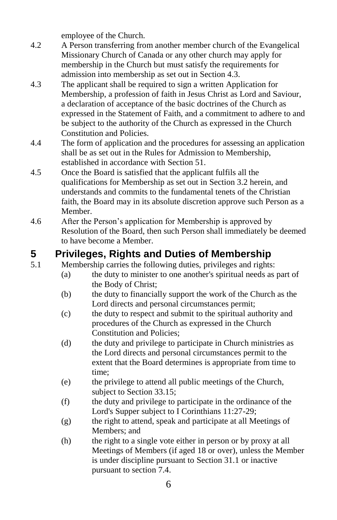employee of the Church.

- 4.2 A Person transferring from another member church of the Evangelical Missionary Church of Canada or any other church may apply for membership in the Church but must satisfy the requirements for admission into membership as set out in Section 4.3.
- 4.3 The applicant shall be required to sign a written Application for Membership, a profession of faith in Jesus Christ as Lord and Saviour, a declaration of acceptance of the basic doctrines of the Church as expressed in the Statement of Faith, and a commitment to adhere to and be subject to the authority of the Church as expressed in the Church Constitution and Policies.
- 4.4 The form of application and the procedures for assessing an application shall be as set out in the Rules for Admission to Membership, established in accordance with Section 51.
- <span id="page-5-1"></span>4.5 Once the Board is satisfied that the applicant fulfils all the qualifications for Membership as set out in Sectio[n 3.2](#page-4-5) herein, and understands and commits to the fundamental tenets of the Christian faith, the Board may in its absolute discretion approve such Person as a Member.
- 4.6 After the Person's application for Membership is approved by Resolution of the Board, then such Person shall immediately be deemed to have become a Member.

## <span id="page-5-0"></span>**5 Privileges, Rights and Duties of Membership**

- 5.1 Membership carries the following duties, privileges and rights:
	- (a) the duty to minister to one another's spiritual needs as part of the Body of Christ;
	- (b) the duty to financially support the work of the Church as the Lord directs and personal circumstances permit;
	- (c) the duty to respect and submit to the spiritual authority and procedures of the Church as expressed in the Church Constitution and Policies;
	- (d) the duty and privilege to participate in Church ministries as the Lord directs and personal circumstances permit to the extent that the Board determines is appropriate from time to time;
	- (e) the privilege to attend all public meetings of the Church, subject to Sectio[n 33.15;](#page-25-0)
	- (f) the duty and privilege to participate in the ordinance of the Lord's Supper subject to I Corinthians 11:27-29;
	- (g) the right to attend, speak and participate at all Meetings of Members; and
	- (h) the right to a single vote either in person or by proxy at all Meetings of Members (if aged 18 or over), unless the Member is under discipline pursuant to Sectio[n 31.1](#page-23-3) or inactive pursuant to section [7.4.](#page-6-2)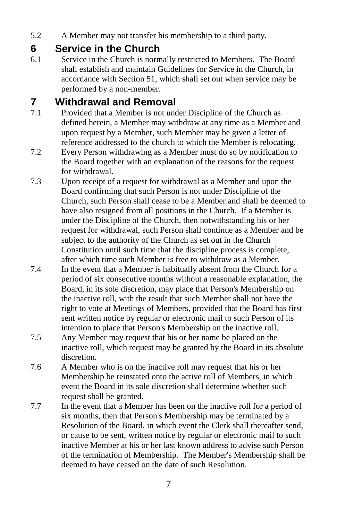5.2 A Member may not transfer his membership to a third party.

#### <span id="page-6-0"></span>**6 Service in the Church**

6.1 Service in the Church is normally restricted to Members. The Board shall establish and maintain Guidelines for Service in the Church, in accordance with Section 51, which shall set out when service may be performed by a non-member.

### <span id="page-6-1"></span>**7 Withdrawal and Removal**

- 7.1 Provided that a Member is not under Discipline of the Church as defined herein, a Member may withdraw at any time as a Member and upon request by a Member, such Member may be given a letter of reference addressed to the church to which the Member is relocating.
- 7.2 Every Person withdrawing as a Member must do so by notification to the Board together with an explanation of the reasons for the request for withdrawal.
- 7.3 Upon receipt of a request for withdrawal as a Member and upon the Board confirming that such Person is not under Discipline of the Church, such Person shall cease to be a Member and shall be deemed to have also resigned from all positions in the Church. If a Member is under the Discipline of the Church, then notwithstanding his or her request for withdrawal, such Person shall continue as a Member and be subject to the authority of the Church as set out in the Church Constitution until such time that the discipline process is complete, after which time such Member is free to withdraw as a Member.
- <span id="page-6-2"></span>7.4 In the event that a Member is habitually absent from the Church for a period of six consecutive months without a reasonable explanation, the Board, in its sole discretion, may place that Person's Membership on the inactive roll, with the result that such Member shall not have the right to vote at Meetings of Members, provided that the Board has first sent written notice by regular or electronic mail to such Person of its intention to place that Person's Membership on the inactive roll.
- 7.5 Any Member may request that his or her name be placed on the inactive roll, which request may be granted by the Board in its absolute discretion.
- 7.6 A Member who is on the inactive roll may request that his or her Membership be reinstated onto the active roll of Members, in which event the Board in its sole discretion shall determine whether such request shall be granted.
- 7.7 In the event that a Member has been on the inactive roll for a period of six months, then that Person's Membership may be terminated by a Resolution of the Board, in which event the Clerk shall thereafter send, or cause to be sent, written notice by regular or electronic mail to such inactive Member at his or her last known address to advise such Person of the termination of Membership. The Member's Membership shall be deemed to have ceased on the date of such Resolution.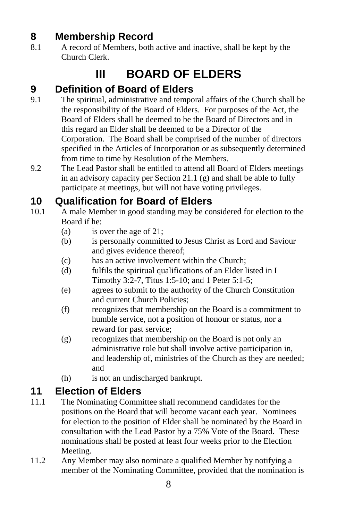## <span id="page-7-0"></span>**8 Membership Record**

<span id="page-7-1"></span>8.1 A record of Members, both active and inactive, shall be kept by the Church Clerk.

## **III BOARD OF ELDERS**

### <span id="page-7-2"></span>**9 Definition of Board of Elders**

- 9.1 The spiritual, administrative and temporal affairs of the Church shall be the responsibility of the Board of Elders. For purposes of the Act, the Board of Elders shall be deemed to be the Board of Directors and in this regard an Elder shall be deemed to be a Director of the Corporation. The Board shall be comprised of the number of directors specified in the Articles of Incorporation or as subsequently determined from time to time by Resolution of the Members.
- 9.2 The Lead Pastor shall be entitled to attend all Board of Elders meetings in an advisory capacity per Section 21.1 (g) and shall be able to fully participate at meetings, but will not have voting privileges.

### <span id="page-7-3"></span>**10 Qualification for Board of Elders**

- <span id="page-7-5"></span>10.1 A male Member in good standing may be considered for election to the Board if he:
	- (a) is over the age of 21;
	- (b) is personally committed to Jesus Christ as Lord and Saviour and gives evidence thereof;
	- (c) has an active involvement within the Church;
	- (d) fulfils the spiritual qualifications of an Elder listed in I Timothy 3:2-7, Titus 1:5-10; and 1 Peter 5:1-5;
	- (e) agrees to submit to the authority of the Church Constitution and current Church Policies;
	- (f) recognizes that membership on the Board is a commitment to humble service, not a position of honour or status, nor a reward for past service;
	- (g) recognizes that membership on the Board is not only an administrative role but shall involve active participation in, and leadership of, ministries of the Church as they are needed; and
	- (h) is not an undischarged bankrupt.

### <span id="page-7-4"></span>**11 Election of Elders**

- 11.1 The Nominating Committee shall recommend candidates for the positions on the Board that will become vacant each year. Nominees for election to the position of Elder shall be nominated by the Board in consultation with the Lead Pastor by a 75% Vote of the Board. These nominations shall be posted at least four weeks prior to the Election Meeting.
- 11.2 Any Member may also nominate a qualified Member by notifying a member of the Nominating Committee, provided that the nomination is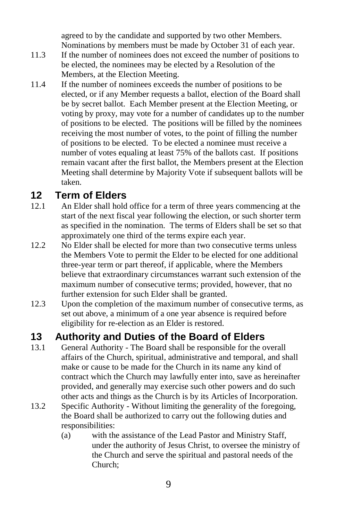agreed to by the candidate and supported by two other Members. Nominations by members must be made by October 31 of each year.

- 11.3 If the number of nominees does not exceed the number of positions to be elected, the nominees may be elected by a Resolution of the Members, at the Election Meeting.
- 11.4 If the number of nominees exceeds the number of positions to be elected, or if any Member requests a ballot, election of the Board shall be by secret ballot. Each Member present at the Election Meeting, or voting by proxy, may vote for a number of candidates up to the number of positions to be elected. The positions will be filled by the nominees receiving the most number of votes, to the point of filling the number of positions to be elected. To be elected a nominee must receive a number of votes equaling at least 75% of the ballots cast. If positions remain vacant after the first ballot, the Members present at the Election Meeting shall determine by Majority Vote if subsequent ballots will be taken.

#### <span id="page-8-0"></span>**12 Term of Elders**

- 12.1 An Elder shall hold office for a term of three years commencing at the start of the next fiscal year following the election, or such shorter term as specified in the nomination. The terms of Elders shall be set so that approximately one third of the terms expire each year.
- 12.2 No Elder shall be elected for more than two consecutive terms unless the Members Vote to permit the Elder to be elected for one additional three-year term or part thereof, if applicable, where the Members believe that extraordinary circumstances warrant such extension of the maximum number of consecutive terms; provided, however, that no further extension for such Elder shall be granted.
- 12.3 Upon the completion of the maximum number of consecutive terms, as set out above, a minimum of a one year absence is required before eligibility for re-election as an Elder is restored.

#### <span id="page-8-1"></span>**13 Authority and Duties of the Board of Elders**

- 13.1 General Authority The Board shall be responsible for the overall affairs of the Church, spiritual, administrative and temporal, and shall make or cause to be made for the Church in its name any kind of contract which the Church may lawfully enter into, save as hereinafter provided, and generally may exercise such other powers and do such other acts and things as the Church is by its Articles of Incorporation.
- 13.2 Specific Authority Without limiting the generality of the foregoing, the Board shall be authorized to carry out the following duties and responsibilities:
	- (a) with the assistance of the Lead Pastor and Ministry Staff, under the authority of Jesus Christ, to oversee the ministry of the Church and serve the spiritual and pastoral needs of the Church;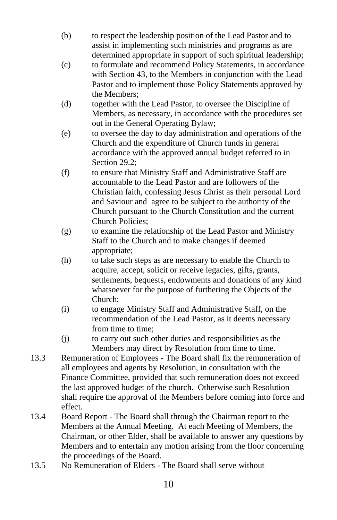- (b) to respect the leadership position of the Lead Pastor and to assist in implementing such ministries and programs as are determined appropriate in support of such spiritual leadership;
- (c) to formulate and recommend Policy Statements, in accordance with Section 43, to the Members in conjunction with the Lead Pastor and to implement those Policy Statements approved by the Members;
- (d) together with the Lead Pastor, to oversee the Discipline of Members, as necessary, in accordance with the procedures set out in the General Operating Bylaw;
- (e) to oversee the day to day administration and operations of the Church and the expenditure of Church funds in general accordance with the approved annual budget referred to in Section 29.2:
- (f) to ensure that Ministry Staff and Administrative Staff are accountable to the Lead Pastor and are followers of the Christian faith, confessing Jesus Christ as their personal Lord and Saviour and agree to be subject to the authority of the Church pursuant to the Church Constitution and the current Church Policies;
- (g) to examine the relationship of the Lead Pastor and Ministry Staff to the Church and to make changes if deemed appropriate;
- (h) to take such steps as are necessary to enable the Church to acquire, accept, solicit or receive legacies, gifts, grants, settlements, bequests, endowments and donations of any kind whatsoever for the purpose of furthering the Objects of the Church;
- (i) to engage Ministry Staff and Administrative Staff, on the recommendation of the Lead Pastor, as it deems necessary from time to time;
- (j) to carry out such other duties and responsibilities as the Members may direct by Resolution from time to time.
- 13.3 Remuneration of Employees The Board shall fix the remuneration of all employees and agents by Resolution, in consultation with the Finance Committee, provided that such remuneration does not exceed the last approved budget of the church. Otherwise such Resolution shall require the approval of the Members before coming into force and effect.
- 13.4 Board Report The Board shall through the Chairman report to the Members at the Annual Meeting. At each Meeting of Members, the Chairman, or other Elder, shall be available to answer any questions by Members and to entertain any motion arising from the floor concerning the proceedings of the Board.
- 13.5 No Remuneration of Elders The Board shall serve without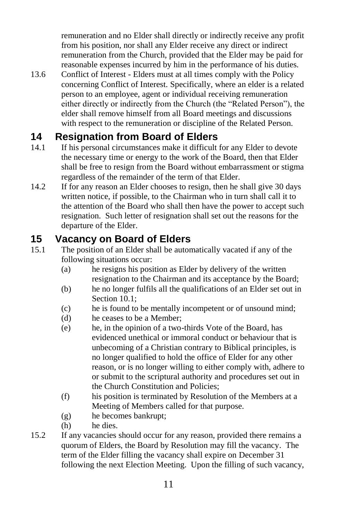remuneration and no Elder shall directly or indirectly receive any profit from his position, nor shall any Elder receive any direct or indirect remuneration from the Church, provided that the Elder may be paid for reasonable expenses incurred by him in the performance of his duties.

13.6 Conflict of Interest - Elders must at all times comply with the Policy concerning Conflict of Interest. Specifically, where an elder is a related person to an employee, agent or individual receiving remuneration either directly or indirectly from the Church (the "Related Person"), the elder shall remove himself from all Board meetings and discussions with respect to the remuneration or discipline of the Related Person.

## <span id="page-10-0"></span>**14 Resignation from Board of Elders**

- 14.1 If his personal circumstances make it difficult for any Elder to devote the necessary time or energy to the work of the Board, then that Elder shall be free to resign from the Board without embarrassment or stigma regardless of the remainder of the term of that Elder.
- 14.2 If for any reason an Elder chooses to resign, then he shall give 30 days written notice, if possible, to the Chairman who in turn shall call it to the attention of the Board who shall then have the power to accept such resignation. Such letter of resignation shall set out the reasons for the departure of the Elder.

#### <span id="page-10-1"></span>**15 Vacancy on Board of Elders**

- 15.1 The position of an Elder shall be automatically vacated if any of the following situations occur:
	- (a) he resigns his position as Elder by delivery of the written resignation to the Chairman and its acceptance by the Board;
	- (b) he no longer fulfils all the qualifications of an Elder set out in Section [10.1;](#page-7-5)
	- (c) he is found to be mentally incompetent or of unsound mind;
	- (d) he ceases to be a Member;
	- (e) he, in the opinion of a two-thirds Vote of the Board, has evidenced unethical or immoral conduct or behaviour that is unbecoming of a Christian contrary to Biblical principles, is no longer qualified to hold the office of Elder for any other reason, or is no longer willing to either comply with, adhere to or submit to the scriptural authority and procedures set out in the Church Constitution and Policies;
	- (f) his position is terminated by Resolution of the Members at a Meeting of Members called for that purpose.
	- (g) he becomes bankrupt;
	- (h) he dies.
- 15.2 If any vacancies should occur for any reason, provided there remains a quorum of Elders, the Board by Resolution may fill the vacancy. The term of the Elder filling the vacancy shall expire on December 31 following the next Election Meeting. Upon the filling of such vacancy,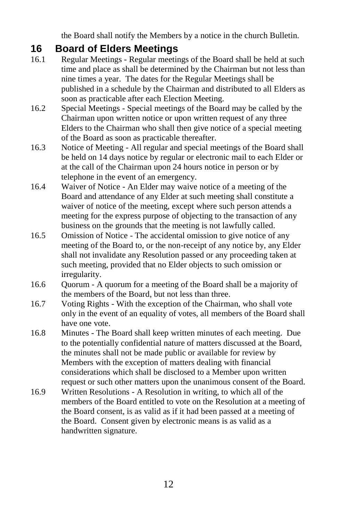the Board shall notify the Members by a notice in the church Bulletin.

### <span id="page-11-0"></span>**16 Board of Elders Meetings**

- 16.1 Regular Meetings Regular meetings of the Board shall be held at such time and place as shall be determined by the Chairman but not less than nine times a year. The dates for the Regular Meetings shall be published in a schedule by the Chairman and distributed to all Elders as soon as practicable after each Election Meeting.
- 16.2 Special Meetings Special meetings of the Board may be called by the Chairman upon written notice or upon written request of any three Elders to the Chairman who shall then give notice of a special meeting of the Board as soon as practicable thereafter.
- 16.3 Notice of Meeting All regular and special meetings of the Board shall be held on 14 days notice by regular or electronic mail to each Elder or at the call of the Chairman upon 24 hours notice in person or by telephone in the event of an emergency.
- 16.4 Waiver of Notice An Elder may waive notice of a meeting of the Board and attendance of any Elder at such meeting shall constitute a waiver of notice of the meeting, except where such person attends a meeting for the express purpose of objecting to the transaction of any business on the grounds that the meeting is not lawfully called.
- 16.5 Omission of Notice The accidental omission to give notice of any meeting of the Board to, or the non-receipt of any notice by, any Elder shall not invalidate any Resolution passed or any proceeding taken at such meeting, provided that no Elder objects to such omission or irregularity.
- 16.6 Quorum A quorum for a meeting of the Board shall be a majority of the members of the Board, but not less than three.
- 16.7 Voting Rights With the exception of the Chairman, who shall vote only in the event of an equality of votes, all members of the Board shall have one vote.
- 16.8 Minutes The Board shall keep written minutes of each meeting. Due to the potentially confidential nature of matters discussed at the Board, the minutes shall not be made public or available for review by Members with the exception of matters dealing with financial considerations which shall be disclosed to a Member upon written request or such other matters upon the unanimous consent of the Board.
- 16.9 Written Resolutions A Resolution in writing, to which all of the members of the Board entitled to vote on the Resolution at a meeting of the Board consent, is as valid as if it had been passed at a meeting of the Board. Consent given by electronic means is as valid as a handwritten signature.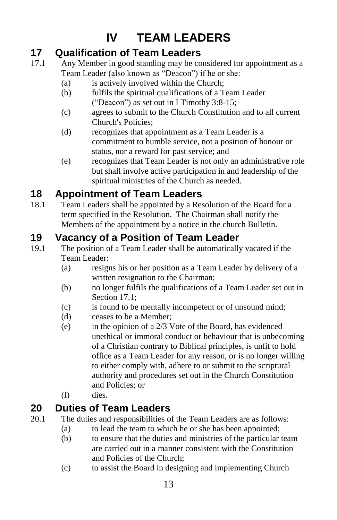# **IV TEAM LEADERS**

## <span id="page-12-1"></span><span id="page-12-0"></span>**17 Qualification of Team Leaders**

- <span id="page-12-5"></span>17.1 Any Member in good standing may be considered for appointment as a Team Leader (also known as "Deacon") if he or she:
	- (a) is actively involved within the Church;
	- (b) fulfils the spiritual qualifications of a Team Leader ("Deacon") as set out in I Timothy 3:8-15;
	- (c) agrees to submit to the Church Constitution and to all current Church's Policies;
	- (d) recognizes that appointment as a Team Leader is a commitment to humble service, not a position of honour or status, nor a reward for past service; and
	- (e) recognizes that Team Leader is not only an administrative role but shall involve active participation in and leadership of the spiritual ministries of the Church as needed.

## <span id="page-12-2"></span>**18 Appointment of Team Leaders**

18.1 Team Leaders shall be appointed by a Resolution of the Board for a term specified in the Resolution. The Chairman shall notify the Members of the appointment by a notice in the church Bulletin.

## <span id="page-12-3"></span>**19 Vacancy of a Position of Team Leader**

- 19.1 The position of a Team Leader shall be automatically vacated if the Team Leader:
	- (a) resigns his or her position as a Team Leader by delivery of a written resignation to the Chairman;
	- (b) no longer fulfils the qualifications of a Team Leader set out in Section [17.1;](#page-12-5)
	- (c) is found to be mentally incompetent or of unsound mind;
	- (d) ceases to be a Member;
	- (e) in the opinion of a 2/3 Vote of the Board, has evidenced unethical or immoral conduct or behaviour that is unbecoming of a Christian contrary to Biblical principles, is unfit to hold office as a Team Leader for any reason, or is no longer willing to either comply with, adhere to or submit to the scriptural authority and procedures set out in the Church Constitution and Policies; or
	- (f) dies.

## <span id="page-12-4"></span>**20 Duties of Team Leaders**

- 20.1 The duties and responsibilities of the Team Leaders are as follows:
	- (a) to lead the team to which he or she has been appointed;
	- (b) to ensure that the duties and ministries of the particular team are carried out in a manner consistent with the Constitution and Policies of the Church;
	- (c) to assist the Board in designing and implementing Church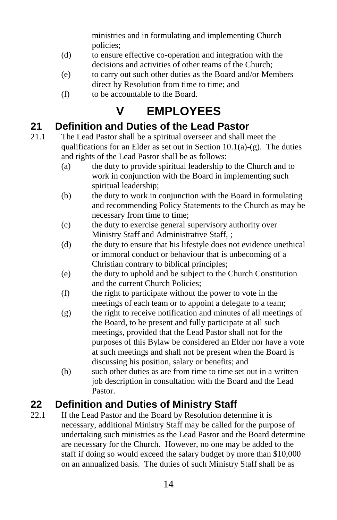ministries and in formulating and implementing Church policies;

- (d) to ensure effective co-operation and integration with the decisions and activities of other teams of the Church;
- (e) to carry out such other duties as the Board and/or Members direct by Resolution from time to time; and
- (f) to be accountable to the Board.

# **V EMPLOYEES**

## <span id="page-13-1"></span><span id="page-13-0"></span>**21 Definition and Duties of the Lead Pastor**

- 21.1 The Lead Pastor shall be a spiritual overseer and shall meet the qualifications for an Elder as set out in Section  $10.1(a)-(g)$ . The duties and rights of the Lead Pastor shall be as follows:
	- (a) the duty to provide spiritual leadership to the Church and to work in conjunction with the Board in implementing such spiritual leadership;
	- (b) the duty to work in conjunction with the Board in formulating and recommending Policy Statements to the Church as may be necessary from time to time;
	- (c) the duty to exercise general supervisory authority over Ministry Staff and Administrative Staff, ;
	- (d) the duty to ensure that his lifestyle does not evidence unethical or immoral conduct or behaviour that is unbecoming of a Christian contrary to biblical principles;
	- (e) the duty to uphold and be subject to the Church Constitution and the current Church Policies;
	- (f) the right to participate without the power to vote in the meetings of each team or to appoint a delegate to a team;
	- (g) the right to receive notification and minutes of all meetings of the Board, to be present and fully participate at all such meetings, provided that the Lead Pastor shall not for the purposes of this Bylaw be considered an Elder nor have a vote at such meetings and shall not be present when the Board is discussing his position, salary or benefits; and
	- (h) such other duties as are from time to time set out in a written job description in consultation with the Board and the Lead Pastor.

## <span id="page-13-2"></span>**22 Definition and Duties of Ministry Staff**

22.1 If the Lead Pastor and the Board by Resolution determine it is necessary, additional Ministry Staff may be called for the purpose of undertaking such ministries as the Lead Pastor and the Board determine are necessary for the Church. However, no one may be added to the staff if doing so would exceed the salary budget by more than \$10,000 on an annualized basis. The duties of such Ministry Staff shall be as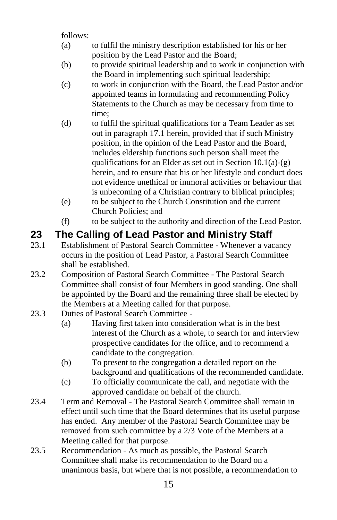follows:

- (a) to fulfil the ministry description established for his or her position by the Lead Pastor and the Board;
- (b) to provide spiritual leadership and to work in conjunction with the Board in implementing such spiritual leadership;
- (c) to work in conjunction with the Board, the Lead Pastor and/or appointed teams in formulating and recommending Policy Statements to the Church as may be necessary from time to time;
- (d) to fulfil the spiritual qualifications for a Team Leader as set out in paragraph [17.1](#page-12-5) herein, provided that if such Ministry position, in the opinion of the Lead Pastor and the Board, includes eldership functions such person shall meet the qualifications for an Elder as set out in Section  $10.1(a)-(g)$ herein, and to ensure that his or her lifestyle and conduct does not evidence unethical or immoral activities or behaviour that is unbecoming of a Christian contrary to biblical principles;
- (e) to be subject to the Church Constitution and the current Church Policies; and
- (f) to be subject to the authority and direction of the Lead Pastor.

## <span id="page-14-0"></span>**23 The Calling of Lead Pastor and Ministry Staff**

- 23.1 Establishment of Pastoral Search Committee Whenever a vacancy occurs in the position of Lead Pastor, a Pastoral Search Committee shall be established.
- 23.2 Composition of Pastoral Search Committee The Pastoral Search Committee shall consist of four Members in good standing. One shall be appointed by the Board and the remaining three shall be elected by the Members at a Meeting called for that purpose.
- 23.3 Duties of Pastoral Search Committee
	- (a) Having first taken into consideration what is in the best interest of the Church as a whole, to search for and interview prospective candidates for the office, and to recommend a candidate to the congregation.
	- (b) To present to the congregation a detailed report on the background and qualifications of the recommended candidate.
	- (c) To officially communicate the call, and negotiate with the approved candidate on behalf of the church.
- 23.4 Term and Removal The Pastoral Search Committee shall remain in effect until such time that the Board determines that its useful purpose has ended. Any member of the Pastoral Search Committee may be removed from such committee by a 2/3 Vote of the Members at a Meeting called for that purpose.
- 23.5 Recommendation As much as possible, the Pastoral Search Committee shall make its recommendation to the Board on a unanimous basis, but where that is not possible, a recommendation to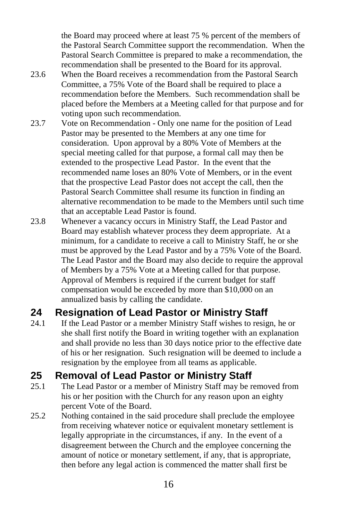the Board may proceed where at least 75 % percent of the members of the Pastoral Search Committee support the recommendation. When the Pastoral Search Committee is prepared to make a recommendation, the recommendation shall be presented to the Board for its approval.

- 23.6 When the Board receives a recommendation from the Pastoral Search Committee, a 75% Vote of the Board shall be required to place a recommendation before the Members. Such recommendation shall be placed before the Members at a Meeting called for that purpose and for voting upon such recommendation.
- 23.7 Vote on Recommendation Only one name for the position of Lead Pastor may be presented to the Members at any one time for consideration. Upon approval by a 80% Vote of Members at the special meeting called for that purpose, a formal call may then be extended to the prospective Lead Pastor. In the event that the recommended name loses an 80% Vote of Members, or in the event that the prospective Lead Pastor does not accept the call, then the Pastoral Search Committee shall resume its function in finding an alternative recommendation to be made to the Members until such time that an acceptable Lead Pastor is found.
- 23.8 Whenever a vacancy occurs in Ministry Staff, the Lead Pastor and Board may establish whatever process they deem appropriate. At a minimum, for a candidate to receive a call to Ministry Staff, he or she must be approved by the Lead Pastor and by a 75% Vote of the Board. The Lead Pastor and the Board may also decide to require the approval of Members by a 75% Vote at a Meeting called for that purpose. Approval of Members is required if the current budget for staff compensation would be exceeded by more than \$10,000 on an annualized basis by calling the candidate.

## <span id="page-15-0"></span>**24 Resignation of Lead Pastor or Ministry Staff**

24.1 If the Lead Pastor or a member Ministry Staff wishes to resign, he or she shall first notify the Board in writing together with an explanation and shall provide no less than 30 days notice prior to the effective date of his or her resignation. Such resignation will be deemed to include a resignation by the employee from all teams as applicable.

## <span id="page-15-1"></span>**25 Removal of Lead Pastor or Ministry Staff**

- 25.1 The Lead Pastor or a member of Ministry Staff may be removed from his or her position with the Church for any reason upon an eighty percent Vote of the Board.
- 25.2 Nothing contained in the said procedure shall preclude the employee from receiving whatever notice or equivalent monetary settlement is legally appropriate in the circumstances, if any. In the event of a disagreement between the Church and the employee concerning the amount of notice or monetary settlement, if any, that is appropriate, then before any legal action is commenced the matter shall first be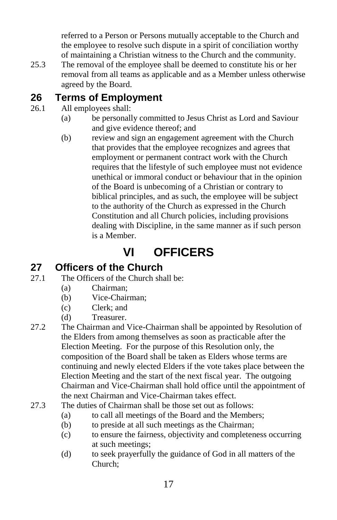referred to a Person or Persons mutually acceptable to the Church and the employee to resolve such dispute in a spirit of conciliation worthy of maintaining a Christian witness to the Church and the community.

25.3 The removal of the employee shall be deemed to constitute his or her removal from all teams as applicable and as a Member unless otherwise agreed by the Board.

#### <span id="page-16-0"></span>**26 Terms of Employment**

- 26.1 All employees shall:
	- (a) be personally committed to Jesus Christ as Lord and Saviour and give evidence thereof; and
	- (b) review and sign an engagement agreement with the Church that provides that the employee recognizes and agrees that employment or permanent contract work with the Church requires that the lifestyle of such employee must not evidence unethical or immoral conduct or behaviour that in the opinion of the Board is unbecoming of a Christian or contrary to biblical principles, and as such, the employee will be subject to the authority of the Church as expressed in the Church Constitution and all Church policies, including provisions dealing with Discipline, in the same manner as if such person is a Member.

# **VI OFFICERS**

### <span id="page-16-2"></span><span id="page-16-1"></span>**27 Officers of the Church**

- <span id="page-16-3"></span>27.1 The Officers of the Church shall be:
	- (a) Chairman;
	- (b) Vice-Chairman;
	- (c) Clerk; and
	- (d) Treasurer.
- 27.2 The Chairman and Vice-Chairman shall be appointed by Resolution of the Elders from among themselves as soon as practicable after the Election Meeting. For the purpose of this Resolution only, the composition of the Board shall be taken as Elders whose terms are continuing and newly elected Elders if the vote takes place between the Election Meeting and the start of the next fiscal year. The outgoing Chairman and Vice-Chairman shall hold office until the appointment of the next Chairman and Vice-Chairman takes effect.
- 27.3 The duties of Chairman shall be those set out as follows:
	- (a) to call all meetings of the Board and the Members;
	- (b) to preside at all such meetings as the Chairman;
	- (c) to ensure the fairness, objectivity and completeness occurring at such meetings;
	- (d) to seek prayerfully the guidance of God in all matters of the Church;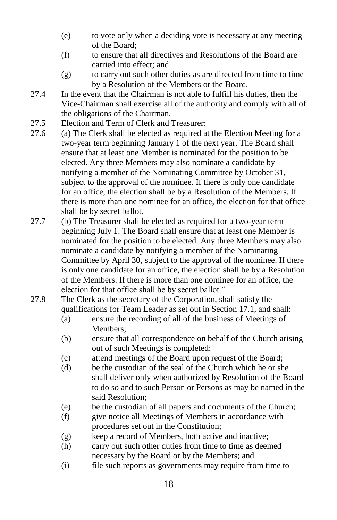- (e) to vote only when a deciding vote is necessary at any meeting of the Board;
- (f) to ensure that all directives and Resolutions of the Board are carried into effect; and
- (g) to carry out such other duties as are directed from time to time by a Resolution of the Members or the Board.
- 27.4 In the event that the Chairman is not able to fulfill his duties, then the Vice-Chairman shall exercise all of the authority and comply with all of the obligations of the Chairman.
- 27.5 Election and Term of Clerk and Treasurer:
- 27.6 (a) The Clerk shall be elected as required at the Election Meeting for a two-year term beginning January 1 of the next year. The Board shall ensure that at least one Member is nominated for the position to be elected. Any three Members may also nominate a candidate by notifying a member of the Nominating Committee by October 31, subject to the approval of the nominee. If there is only one candidate for an office, the election shall be by a Resolution of the Members. If there is more than one nominee for an office, the election for that office shall be by secret ballot.
- 27.7 (b) The Treasurer shall be elected as required for a two-year term beginning July 1. The Board shall ensure that at least one Member is nominated for the position to be elected. Any three Members may also nominate a candidate by notifying a member of the Nominating Committee by April 30, subject to the approval of the nominee. If there is only one candidate for an office, the election shall be by a Resolution of the Members. If there is more than one nominee for an office, the election for that office shall be by secret ballot."
- 27.8 The Clerk as the secretary of the Corporation, shall satisfy the qualifications for Team Leader as set out in Section [17.1,](#page-12-5) and shall:
	- (a) ensure the recording of all of the business of Meetings of Members;
	- (b) ensure that all correspondence on behalf of the Church arising out of such Meetings is completed;
	- (c) attend meetings of the Board upon request of the Board;
	- (d) be the custodian of the seal of the Church which he or she shall deliver only when authorized by Resolution of the Board to do so and to such Person or Persons as may be named in the said Resolution;
	- (e) be the custodian of all papers and documents of the Church;
	- (f) give notice all Meetings of Members in accordance with procedures set out in the Constitution;
	- (g) keep a record of Members, both active and inactive;
	- (h) carry out such other duties from time to time as deemed necessary by the Board or by the Members; and
	- (i) file such reports as governments may require from time to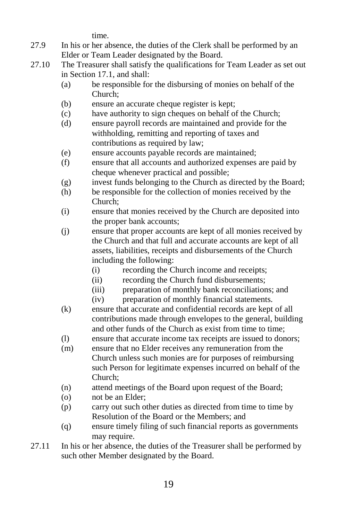time.

- 27.9 In his or her absence, the duties of the Clerk shall be performed by an Elder or Team Leader designated by the Board.
- 27.10 The Treasurer shall satisfy the qualifications for Team Leader as set out in Section [17.1,](#page-12-5) and shall:
	- (a) be responsible for the disbursing of monies on behalf of the Church;
	- (b) ensure an accurate cheque register is kept;
	- (c) have authority to sign cheques on behalf of the Church;
	- (d) ensure payroll records are maintained and provide for the withholding, remitting and reporting of taxes and contributions as required by law;
	- (e) ensure accounts payable records are maintained;
	- (f) ensure that all accounts and authorized expenses are paid by cheque whenever practical and possible;
	- (g) invest funds belonging to the Church as directed by the Board;
	- (h) be responsible for the collection of monies received by the Church;
	- (i) ensure that monies received by the Church are deposited into the proper bank accounts;
	- (j) ensure that proper accounts are kept of all monies received by the Church and that full and accurate accounts are kept of all assets, liabilities, receipts and disbursements of the Church including the following:
		- (i) recording the Church income and receipts;
		- (ii) recording the Church fund disbursements;
		- (iii) preparation of monthly bank reconciliations; and
		- (iv) preparation of monthly financial statements.
	- (k) ensure that accurate and confidential records are kept of all contributions made through envelopes to the general, building and other funds of the Church as exist from time to time;
	- (l) ensure that accurate income tax receipts are issued to donors;
	- (m) ensure that no Elder receives any remuneration from the Church unless such monies are for purposes of reimbursing such Person for legitimate expenses incurred on behalf of the Church;
	- (n) attend meetings of the Board upon request of the Board;
	- (o) not be an Elder;
	- (p) carry out such other duties as directed from time to time by Resolution of the Board or the Members; and
	- (q) ensure timely filing of such financial reports as governments may require.
- 27.11 In his or her absence, the duties of the Treasurer shall be performed by such other Member designated by the Board.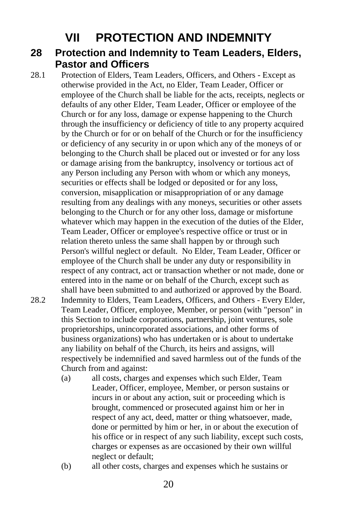## **VII PROTECTION AND INDEMNITY**

#### <span id="page-19-1"></span><span id="page-19-0"></span>**28 Protection and Indemnity to Team Leaders, Elders, Pastor and Officers**

28.1 Protection of Elders, Team Leaders, Officers, and Others - Except as otherwise provided in the Act, no Elder, Team Leader, Officer or employee of the Church shall be liable for the acts, receipts, neglects or defaults of any other Elder, Team Leader, Officer or employee of the Church or for any loss, damage or expense happening to the Church through the insufficiency or deficiency of title to any property acquired by the Church or for or on behalf of the Church or for the insufficiency or deficiency of any security in or upon which any of the moneys of or belonging to the Church shall be placed out or invested or for any loss or damage arising from the bankruptcy, insolvency or tortious act of any Person including any Person with whom or which any moneys, securities or effects shall be lodged or deposited or for any loss, conversion, misapplication or misappropriation of or any damage resulting from any dealings with any moneys, securities or other assets belonging to the Church or for any other loss, damage or misfortune whatever which may happen in the execution of the duties of the Elder, Team Leader, Officer or employee's respective office or trust or in relation thereto unless the same shall happen by or through such Person's willful neglect or default. No Elder, Team Leader, Officer or employee of the Church shall be under any duty or responsibility in respect of any contract, act or transaction whether or not made, done or entered into in the name or on behalf of the Church, except such as shall have been submitted to and authorized or approved by the Board. 28.2 Indemnity to Elders, Team Leaders, Officers, and Others - Every Elder, Team Leader, Officer, employee, Member, or person (with "person" in this Section to include corporations, partnership, joint ventures, sole

- proprietorships, unincorporated associations, and other forms of business organizations) who has undertaken or is about to undertake any liability on behalf of the Church, its heirs and assigns, will respectively be indemnified and saved harmless out of the funds of the Church from and against:
	- (a) all costs, charges and expenses which such Elder, Team Leader, Officer, employee, Member, or person sustains or incurs in or about any action, suit or proceeding which is brought, commenced or prosecuted against him or her in respect of any act, deed, matter or thing whatsoever, made, done or permitted by him or her, in or about the execution of his office or in respect of any such liability, except such costs, charges or expenses as are occasioned by their own willful neglect or default;
	- (b) all other costs, charges and expenses which he sustains or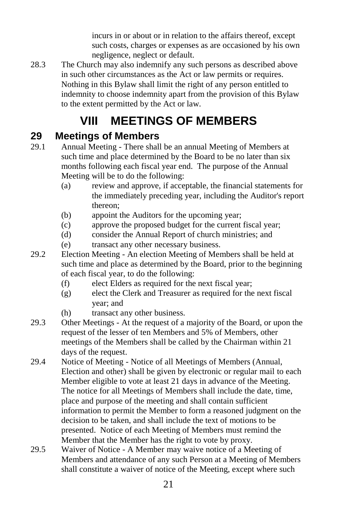incurs in or about or in relation to the affairs thereof, except such costs, charges or expenses as are occasioned by his own negligence, neglect or default.

28.3 The Church may also indemnify any such persons as described above in such other circumstances as the Act or law permits or requires. Nothing in this Bylaw shall limit the right of any person entitled to indemnity to choose indemnity apart from the provision of this Bylaw to the extent permitted by the Act or law.

# **VIII MEETINGS OF MEMBERS**

### <span id="page-20-1"></span><span id="page-20-0"></span>**29 Meetings of Members**

- 29.1 Annual Meeting There shall be an annual Meeting of Members at such time and place determined by the Board to be no later than six months following each fiscal year end. The purpose of the Annual Meeting will be to do the following:
	- (a) review and approve, if acceptable, the financial statements for the immediately preceding year, including the Auditor's report thereon;
	- (b) appoint the Auditors for the upcoming year;
	- (c) approve the proposed budget for the current fiscal year;
	- (d) consider the Annual Report of church ministries; and
	- (e) transact any other necessary business.
- 29.2 Election Meeting An election Meeting of Members shall be held at such time and place as determined by the Board, prior to the beginning of each fiscal year, to do the following:
	- (f) elect Elders as required for the next fiscal year;
	- (g) elect the Clerk and Treasurer as required for the next fiscal year; and
	- (h) transact any other business.
- 29.3 Other Meetings At the request of a majority of the Board, or upon the request of the lesser of ten Members and 5% of Members, other meetings of the Members shall be called by the Chairman within 21 days of the request.
- <span id="page-20-2"></span>29.4 Notice of Meeting - Notice of all Meetings of Members (Annual, Election and other) shall be given by electronic or regular mail to each Member eligible to vote at least 21 days in advance of the Meeting. The notice for all Meetings of Members shall include the date, time, place and purpose of the meeting and shall contain sufficient information to permit the Member to form a reasoned judgment on the decision to be taken, and shall include the text of motions to be presented. Notice of each Meeting of Members must remind the Member that the Member has the right to vote by proxy.
- 29.5 Waiver of Notice A Member may waive notice of a Meeting of Members and attendance of any such Person at a Meeting of Members shall constitute a waiver of notice of the Meeting, except where such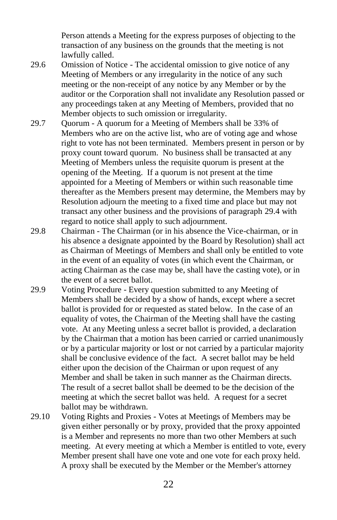Person attends a Meeting for the express purposes of objecting to the transaction of any business on the grounds that the meeting is not lawfully called.

- 29.6 Omission of Notice The accidental omission to give notice of any Meeting of Members or any irregularity in the notice of any such meeting or the non-receipt of any notice by any Member or by the auditor or the Corporation shall not invalidate any Resolution passed or any proceedings taken at any Meeting of Members, provided that no Member objects to such omission or irregularity.
- 29.7 Quorum A quorum for a Meeting of Members shall be 33% of Members who are on the active list, who are of voting age and whose right to vote has not been terminated. Members present in person or by proxy count toward quorum. No business shall be transacted at any Meeting of Members unless the requisite quorum is present at the opening of the Meeting. If a quorum is not present at the time appointed for a Meeting of Members or within such reasonable time thereafter as the Members present may determine, the Members may by Resolution adjourn the meeting to a fixed time and place but may not transact any other business and the provisions of paragraph [29.4](#page-20-2) with regard to notice shall apply to such adjournment.
- 29.8 Chairman The Chairman (or in his absence the Vice-chairman, or in his absence a designate appointed by the Board by Resolution) shall act as Chairman of Meetings of Members and shall only be entitled to vote in the event of an equality of votes (in which event the Chairman, or acting Chairman as the case may be, shall have the casting vote), or in the event of a secret ballot.
- 29.9 Voting Procedure Every question submitted to any Meeting of Members shall be decided by a show of hands, except where a secret ballot is provided for or requested as stated below. In the case of an equality of votes, the Chairman of the Meeting shall have the casting vote. At any Meeting unless a secret ballot is provided, a declaration by the Chairman that a motion has been carried or carried unanimously or by a particular majority or lost or not carried by a particular majority shall be conclusive evidence of the fact. A secret ballot may be held either upon the decision of the Chairman or upon request of any Member and shall be taken in such manner as the Chairman directs. The result of a secret ballot shall be deemed to be the decision of the meeting at which the secret ballot was held. A request for a secret ballot may be withdrawn.
- 29.10 Voting Rights and Proxies Votes at Meetings of Members may be given either personally or by proxy, provided that the proxy appointed is a Member and represents no more than two other Members at such meeting. At every meeting at which a Member is entitled to vote, every Member present shall have one vote and one vote for each proxy held. A proxy shall be executed by the Member or the Member's attorney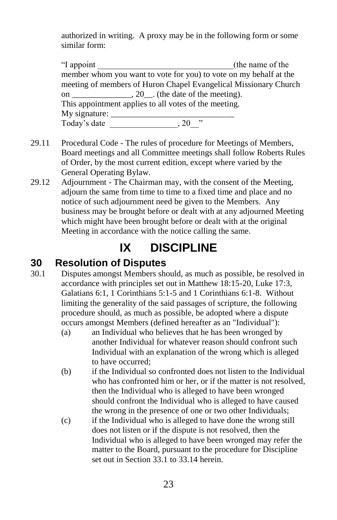authorized in writing. A proxy may be in the following form or some similar form:

| "I appoint                                                       | (the name of the                                                  |  |  |  |  |  |
|------------------------------------------------------------------|-------------------------------------------------------------------|--|--|--|--|--|
|                                                                  | member whom you want to vote for you) to vote on my behalf at the |  |  |  |  |  |
| meeting of members of Huron Chapel Evangelical Missionary Church |                                                                   |  |  |  |  |  |
| on $\_\_\_\_\_\_\$ , 20 $\_\_\_\$ . (the date of the meeting).   |                                                                   |  |  |  |  |  |
| This appointment applies to all votes of the meeting.            |                                                                   |  |  |  |  |  |
| My signature:                                                    |                                                                   |  |  |  |  |  |
| Today's date                                                     | ,,<br>$-20$                                                       |  |  |  |  |  |
|                                                                  |                                                                   |  |  |  |  |  |

- 29.11 Procedural Code The rules of procedure for Meetings of Members, Board meetings and all Committee meetings shall follow Roberts Rules of Order, by the most current edition, except where varied by the General Operating Bylaw.
- 29.12 Adjournment The Chairman may, with the consent of the Meeting, adjourn the same from time to time to a fixed time and place and no notice of such adjournment need be given to the Members. Any business may be brought before or dealt with at any adjourned Meeting which might have been brought before or dealt with at the original Meeting in accordance with the notice calling the same.

## **IX DISCIPLINE**

#### <span id="page-22-1"></span><span id="page-22-0"></span>**30 Resolution of Disputes**

- <span id="page-22-2"></span>30.1 Disputes amongst Members should, as much as possible, be resolved in accordance with principles set out in Matthew 18:15-20, Luke 17:3, Galatians 6:1, 1 Corinthians 5:1-5 and 1 Corinthians 6:1-8. Without limiting the generality of the said passages of scripture, the following procedure should, as much as possible, be adopted where a dispute occurs amongst Members (defined hereafter as an "Individual"):
	- (a) an Individual who believes that he has been wronged by another Individual for whatever reason should confront such Individual with an explanation of the wrong which is alleged to have occurred;
	- (b) if the Individual so confronted does not listen to the Individual who has confronted him or her, or if the matter is not resolved, then the Individual who is alleged to have been wronged should confront the Individual who is alleged to have caused the wrong in the presence of one or two other Individuals;
	- (c) if the Individual who is alleged to have done the wrong still does not listen or if the dispute is not resolved, then the Individual who is alleged to have been wronged may refer the matter to the Board, pursuant to the procedure for Discipline set out in Sectio[n 33.1](#page-23-4) to [33.14](#page-25-1) herein.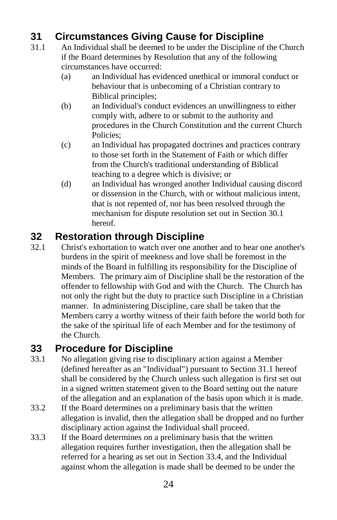## <span id="page-23-0"></span>**31 Circumstances Giving Cause for Discipline**

- <span id="page-23-3"></span>31.1 An Individual shall be deemed to be under the Discipline of the Church if the Board determines by Resolution that any of the following circumstances have occurred:
	- (a) an Individual has evidenced unethical or immoral conduct or behaviour that is unbecoming of a Christian contrary to Biblical principles;
	- (b) an Individual's conduct evidences an unwillingness to either comply with, adhere to or submit to the authority and procedures in the Church Constitution and the current Church Policies;
	- (c) an Individual has propagated doctrines and practices contrary to those set forth in the Statement of Faith or which differ from the Church's traditional understanding of Biblical teaching to a degree which is divisive; or
	- (d) an Individual has wronged another Individual causing discord or dissension in the Church, with or without malicious intent, that is not repented of, nor has been resolved through the mechanism for dispute resolution set out in Sectio[n 30.1](#page-22-2) hereof.

### <span id="page-23-1"></span>**32 Restoration through Discipline**

32.1 Christ's exhortation to watch over one another and to bear one another's burdens in the spirit of meekness and love shall be foremost in the minds of the Board in fulfilling its responsibility for the Discipline of Members. The primary aim of Discipline shall be the restoration of the offender to fellowship with God and with the Church. The Church has not only the right but the duty to practice such Discipline in a Christian manner. In administering Discipline, care shall be taken that the Members carry a worthy witness of their faith before the world both for the sake of the spiritual life of each Member and for the testimony of the Church.

### <span id="page-23-2"></span>**33 Procedure for Discipline**

- <span id="page-23-4"></span>33.1 No allegation giving rise to disciplinary action against a Member (defined hereafter as an "Individual") pursuant to Section [31.1](#page-23-3) hereof shall be considered by the Church unless such allegation is first set out in a signed written statement given to the Board setting out the nature of the allegation and an explanation of the basis upon which it is made.
- 33.2 If the Board determines on a preliminary basis that the written allegation is invalid, then the allegation shall be dropped and no further disciplinary action against the Individual shall proceed.
- 33.3 If the Board determines on a preliminary basis that the written allegation requires further investigation, then the allegation shall be referred for a hearing as set out in Section [33.4,](#page-24-0) and the Individual against whom the allegation is made shall be deemed to be under the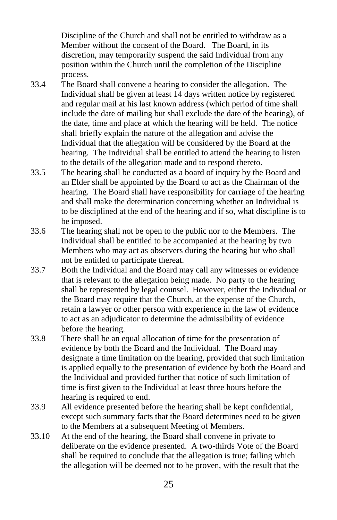Discipline of the Church and shall not be entitled to withdraw as a Member without the consent of the Board. The Board, in its discretion, may temporarily suspend the said Individual from any position within the Church until the completion of the Discipline process.

- <span id="page-24-0"></span>33.4 The Board shall convene a hearing to consider the allegation. The Individual shall be given at least 14 days written notice by registered and regular mail at his last known address (which period of time shall include the date of mailing but shall exclude the date of the hearing), of the date, time and place at which the hearing will be held. The notice shall briefly explain the nature of the allegation and advise the Individual that the allegation will be considered by the Board at the hearing. The Individual shall be entitled to attend the hearing to listen to the details of the allegation made and to respond thereto.
- 33.5 The hearing shall be conducted as a board of inquiry by the Board and an Elder shall be appointed by the Board to act as the Chairman of the hearing. The Board shall have responsibility for carriage of the hearing and shall make the determination concerning whether an Individual is to be disciplined at the end of the hearing and if so, what discipline is to be imposed.
- 33.6 The hearing shall not be open to the public nor to the Members. The Individual shall be entitled to be accompanied at the hearing by two Members who may act as observers during the hearing but who shall not be entitled to participate thereat.
- 33.7 Both the Individual and the Board may call any witnesses or evidence that is relevant to the allegation being made. No party to the hearing shall be represented by legal counsel. However, either the Individual or the Board may require that the Church, at the expense of the Church, retain a lawyer or other person with experience in the law of evidence to act as an adjudicator to determine the admissibility of evidence before the hearing.
- 33.8 There shall be an equal allocation of time for the presentation of evidence by both the Board and the Individual. The Board may designate a time limitation on the hearing, provided that such limitation is applied equally to the presentation of evidence by both the Board and the Individual and provided further that notice of such limitation of time is first given to the Individual at least three hours before the hearing is required to end.
- 33.9 All evidence presented before the hearing shall be kept confidential, except such summary facts that the Board determines need to be given to the Members at a subsequent Meeting of Members.
- 33.10 At the end of the hearing, the Board shall convene in private to deliberate on the evidence presented. A two-thirds Vote of the Board shall be required to conclude that the allegation is true; failing which the allegation will be deemed not to be proven, with the result that the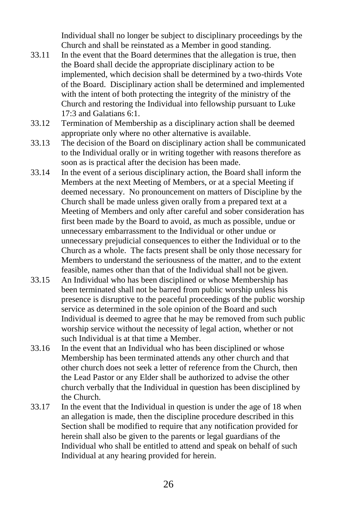Individual shall no longer be subject to disciplinary proceedings by the Church and shall be reinstated as a Member in good standing.

- 33.11 In the event that the Board determines that the allegation is true, then the Board shall decide the appropriate disciplinary action to be implemented, which decision shall be determined by a two-thirds Vote of the Board. Disciplinary action shall be determined and implemented with the intent of both protecting the integrity of the ministry of the Church and restoring the Individual into fellowship pursuant to Luke 17:3 and Galatians 6:1.
- 33.12 Termination of Membership as a disciplinary action shall be deemed appropriate only where no other alternative is available.
- 33.13 The decision of the Board on disciplinary action shall be communicated to the Individual orally or in writing together with reasons therefore as soon as is practical after the decision has been made.
- <span id="page-25-1"></span>33.14 In the event of a serious disciplinary action, the Board shall inform the Members at the next Meeting of Members, or at a special Meeting if deemed necessary. No pronouncement on matters of Discipline by the Church shall be made unless given orally from a prepared text at a Meeting of Members and only after careful and sober consideration has first been made by the Board to avoid, as much as possible, undue or unnecessary embarrassment to the Individual or other undue or unnecessary prejudicial consequences to either the Individual or to the Church as a whole. The facts present shall be only those necessary for Members to understand the seriousness of the matter, and to the extent feasible, names other than that of the Individual shall not be given.
- <span id="page-25-0"></span>33.15 An Individual who has been disciplined or whose Membership has been terminated shall not be barred from public worship unless his presence is disruptive to the peaceful proceedings of the public worship service as determined in the sole opinion of the Board and such Individual is deemed to agree that he may be removed from such public worship service without the necessity of legal action, whether or not such Individual is at that time a Member.
- 33.16 In the event that an Individual who has been disciplined or whose Membership has been terminated attends any other church and that other church does not seek a letter of reference from the Church, then the Lead Pastor or any Elder shall be authorized to advise the other church verbally that the Individual in question has been disciplined by the Church.
- 33.17 In the event that the Individual in question is under the age of 18 when an allegation is made, then the discipline procedure described in this Section shall be modified to require that any notification provided for herein shall also be given to the parents or legal guardians of the Individual who shall be entitled to attend and speak on behalf of such Individual at any hearing provided for herein.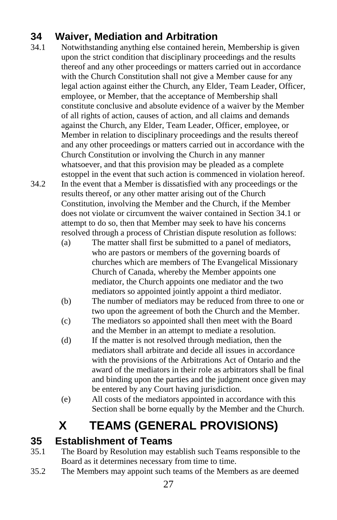## <span id="page-26-0"></span>**34 Waiver, Mediation and Arbitration**

<span id="page-26-3"></span>34.1 Notwithstanding anything else contained herein, Membership is given upon the strict condition that disciplinary proceedings and the results thereof and any other proceedings or matters carried out in accordance with the Church Constitution shall not give a Member cause for any legal action against either the Church, any Elder, Team Leader, Officer, employee, or Member, that the acceptance of Membership shall constitute conclusive and absolute evidence of a waiver by the Member of all rights of action, causes of action, and all claims and demands against the Church, any Elder, Team Leader, Officer, employee, or Member in relation to disciplinary proceedings and the results thereof and any other proceedings or matters carried out in accordance with the Church Constitution or involving the Church in any manner whatsoever, and that this provision may be pleaded as a complete estoppel in the event that such action is commenced in violation hereof. 34.2 In the event that a Member is dissatisfied with any proceedings or the results thereof, or any other matter arising out of the Church

Constitution, involving the Member and the Church, if the Member does not violate or circumvent the waiver contained in Sectio[n 34.1](#page-26-3) or attempt to do so, then that Member may seek to have his concerns resolved through a process of Christian dispute resolution as follows:

- (a) The matter shall first be submitted to a panel of mediators, who are pastors or members of the governing boards of churches which are members of The Evangelical Missionary Church of Canada, whereby the Member appoints one mediator, the Church appoints one mediator and the two mediators so appointed jointly appoint a third mediator.
- (b) The number of mediators may be reduced from three to one or two upon the agreement of both the Church and the Member.
- (c) The mediators so appointed shall then meet with the Board and the Member in an attempt to mediate a resolution.
- (d) If the matter is not resolved through mediation, then the mediators shall arbitrate and decide all issues in accordance with the provisions of the Arbitrations Act of Ontario and the award of the mediators in their role as arbitrators shall be final and binding upon the parties and the judgment once given may be entered by any Court having jurisdiction.
- (e) All costs of the mediators appointed in accordance with this Section shall be borne equally by the Member and the Church.

# **X TEAMS (GENERAL PROVISIONS)**

## <span id="page-26-2"></span><span id="page-26-1"></span>**35 Establishment of Teams**

- 35.1 The Board by Resolution may establish such Teams responsible to the Board as it determines necessary from time to time.
- 35.2 The Members may appoint such teams of the Members as are deemed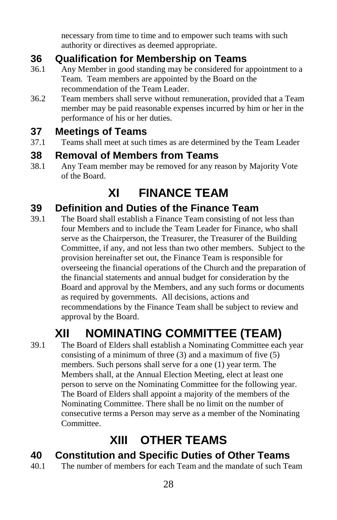necessary from time to time and to empower such teams with such authority or directives as deemed appropriate.

## <span id="page-27-0"></span>**36 Qualification for Membership on Teams**

- 36.1 Any Member in good standing may be considered for appointment to a Team. Team members are appointed by the Board on the recommendation of the Team Leader.
- 36.2 Team members shall serve without remuneration, provided that a Team member may be paid reasonable expenses incurred by him or her in the performance of his or her duties.

### <span id="page-27-1"></span>**37 Meetings of Teams**

37.1 Teams shall meet at such times as are determined by the Team Leader

### <span id="page-27-2"></span>**38 Removal of Members from Teams**

<span id="page-27-3"></span>38.1 Any Team member may be removed for any reason by Majority Vote of the Board.

## **XI FINANCE TEAM**

#### <span id="page-27-4"></span>**39 Definition and Duties of the Finance Team**

39.1 The Board shall establish a Finance Team consisting of not less than four Members and to include the Team Leader for Finance, who shall serve as the Chairperson, the Treasurer, the Treasurer of the Building Committee, if any, and not less than two other members. Subject to the provision hereinafter set out, the Finance Team is responsible for overseeing the financial operations of the Church and the preparation of the financial statements and annual budget for consideration by the Board and approval by the Members, and any such forms or documents as required by governments. All decisions, actions and recommendations by the Finance Team shall be subject to review and approval by the Board.

# **XII NOMINATING COMMITTEE (TEAM)**

<span id="page-27-5"></span>39.1 The Board of Elders shall establish a Nominating Committee each year consisting of a minimum of three (3) and a maximum of five (5) members. Such persons shall serve for a one (1) year term. The Members shall, at the Annual Election Meeting, elect at least one person to serve on the Nominating Committee for the following year. The Board of Elders shall appoint a majority of the members of the Nominating Committee. There shall be no limit on the number of consecutive terms a Person may serve as a member of the Nominating Committee.

# **XIII OTHER TEAMS**

### <span id="page-27-7"></span><span id="page-27-6"></span>**40 Constitution and Specific Duties of Other Teams**

40.1 The number of members for each Team and the mandate of such Team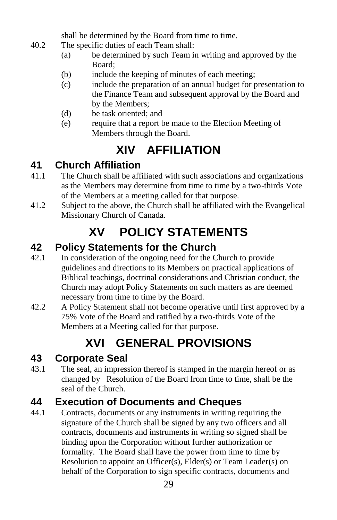shall be determined by the Board from time to time.

- 40.2 The specific duties of each Team shall:
	- (a) be determined by such Team in writing and approved by the Board;
	- (b) include the keeping of minutes of each meeting;
	- (c) include the preparation of an annual budget for presentation to the Finance Team and subsequent approval by the Board and by the Members;
	- (d) be task oriented; and
	- (e) require that a report be made to the Election Meeting of Members through the Board.

# **XIV AFFILIATION**

## <span id="page-28-1"></span><span id="page-28-0"></span>**41 Church Affiliation**

- 41.1 The Church shall be affiliated with such associations and organizations as the Members may determine from time to time by a two-thirds Vote of the Members at a meeting called for that purpose.
- <span id="page-28-2"></span>41.2 Subject to the above, the Church shall be affiliated with the Evangelical Missionary Church of Canada.

# **XV POLICY STATEMENTS**

## <span id="page-28-3"></span>**42 Policy Statements for the Church**

- 42.1 In consideration of the ongoing need for the Church to provide guidelines and directions to its Members on practical applications of Biblical teachings, doctrinal considerations and Christian conduct, the Church may adopt Policy Statements on such matters as are deemed necessary from time to time by the Board.
- 42.2 A Policy Statement shall not become operative until first approved by a 75% Vote of the Board and ratified by a two-thirds Vote of the Members at a Meeting called for that purpose.

# **XVI GENERAL PROVISIONS**

## <span id="page-28-5"></span><span id="page-28-4"></span>**43 Corporate Seal**

43.1 The seal, an impression thereof is stamped in the margin hereof or as changed by Resolution of the Board from time to time, shall be the seal of the Church.

## <span id="page-28-6"></span>**44 Execution of Documents and Cheques**

44.1 Contracts, documents or any instruments in writing requiring the signature of the Church shall be signed by any two officers and all contracts, documents and instruments in writing so signed shall be binding upon the Corporation without further authorization or formality. The Board shall have the power from time to time by Resolution to appoint an Officer(s), Elder(s) or Team Leader(s) on behalf of the Corporation to sign specific contracts, documents and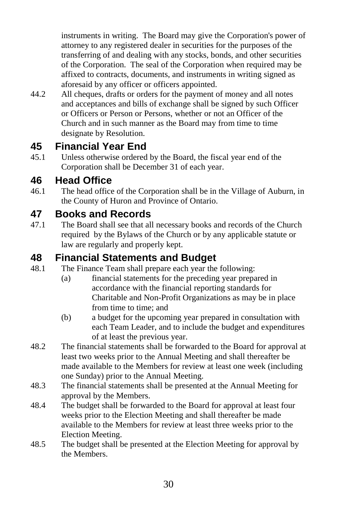instruments in writing. The Board may give the Corporation's power of attorney to any registered dealer in securities for the purposes of the transferring of and dealing with any stocks, bonds, and other securities of the Corporation. The seal of the Corporation when required may be affixed to contracts, documents, and instruments in writing signed as aforesaid by any officer or officers appointed.

44.2 All cheques, drafts or orders for the payment of money and all notes and acceptances and bills of exchange shall be signed by such Officer or Officers or Person or Persons, whether or not an Officer of the Church and in such manner as the Board may from time to time designate by Resolution.

### <span id="page-29-0"></span>**45 Financial Year End**

45.1 Unless otherwise ordered by the Board, the fiscal year end of the Corporation shall be December 31 of each year.

#### <span id="page-29-1"></span>**46 Head Office**

46.1 The head office of the Corporation shall be in the Village of Auburn, in the County of Huron and Province of Ontario.

#### <span id="page-29-2"></span>**47 Books and Records**

47.1 The Board shall see that all necessary books and records of the Church required by the Bylaws of the Church or by any applicable statute or law are regularly and properly kept.

#### <span id="page-29-3"></span>**48 Financial Statements and Budget**

- 48.1 The Finance Team shall prepare each year the following:
	- (a) financial statements for the preceding year prepared in accordance with the financial reporting standards for Charitable and Non-Profit Organizations as may be in place from time to time; and
	- (b) a budget for the upcoming year prepared in consultation with each Team Leader, and to include the budget and expenditures of at least the previous year.
- 48.2 The financial statements shall be forwarded to the Board for approval at least two weeks prior to the Annual Meeting and shall thereafter be made available to the Members for review at least one week (including one Sunday) prior to the Annual Meeting.
- 48.3 The financial statements shall be presented at the Annual Meeting for approval by the Members.
- 48.4 The budget shall be forwarded to the Board for approval at least four weeks prior to the Election Meeting and shall thereafter be made available to the Members for review at least three weeks prior to the Election Meeting.
- 48.5 The budget shall be presented at the Election Meeting for approval by the Members.